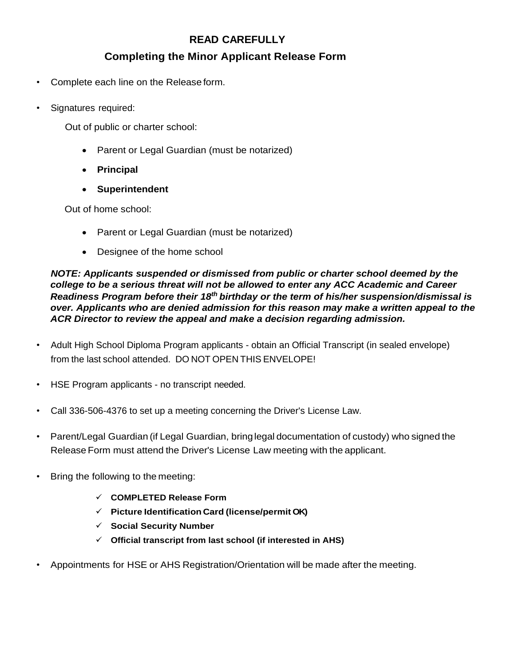## **READ CAREFULLY**

## **Completing the Minor Applicant Release Form**

- Complete each line on the Release form.
- Signatures required:

Out of public or charter school:

- Parent or Legal Guardian (must be notarized)
- **Principal**
- **Superintendent**

Out of home school:

- Parent or Legal Guardian (must be notarized)
- Designee of the home school

*NOTE: Applicants suspended or dismissed from public or charter school deemed by the college to be a serious threat will not be allowed to enter any ACC Academic and Career Readiness Program before their 18th birthday or the term of his/her suspension/dismissal is over. Applicants who are denied admission for this reason may make a written appeal to the ACR Director to review the appeal and make a decision regarding admission.*

- Adult High School Diploma Program applicants obtain an Official Transcript (in sealed envelope) from the last school attended. DO NOT OPEN THIS ENVELOPE!
- HSE Program applicants no transcript needed.
- Call 336-506-4376 to set up a meeting concerning the Driver's License Law.
- Parent/Legal Guardian (if Legal Guardian, bringlegal documentation of custody) who signed the Release Form must attend the Driver's License Law meeting with the applicant.
- Bring the following to the meeting:
	- **COMPLETED Release Form**
	- **Picture Identification Card (license/permit OK)**
	- **Social Security Number**
	- **Official transcript from last school (if interested in AHS)**
- Appointments for HSE or AHS Registration/Orientation will be made after the meeting.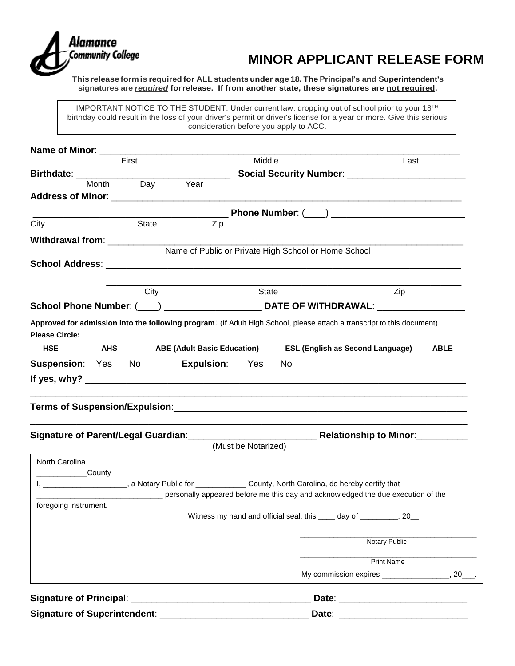

# **MINOR APPLICANT RELEASE FORM**

**This release formis required for ALL students under age 18. The Principal's and Superintendent's signatures are** *required* **forrelease. If from another state, these signatures are not required.**

IMPORTANT NOTICE TO THE STUDENT: Under current law, dropping out of school prior to your  $18^{TH}$ birthday could result in the loss of your driver's permit or driver's license for a year or more. Give this serious consideration before you apply to ACC.

| First                                                                                                                    |          |                       | Middle              |                                                                                  | Last                                   |                   |             |
|--------------------------------------------------------------------------------------------------------------------------|----------|-----------------------|---------------------|----------------------------------------------------------------------------------|----------------------------------------|-------------------|-------------|
|                                                                                                                          |          |                       |                     |                                                                                  |                                        |                   |             |
| Month                                                                                                                    | Day Year |                       |                     |                                                                                  |                                        |                   |             |
|                                                                                                                          |          |                       |                     |                                                                                  |                                        |                   |             |
|                                                                                                                          |          |                       |                     |                                                                                  |                                        |                   |             |
| City                                                                                                                     | State    | Zip                   |                     |                                                                                  |                                        |                   |             |
| Withdrawal from: ___________________                                                                                     |          |                       |                     |                                                                                  |                                        |                   |             |
|                                                                                                                          |          |                       |                     | Name of Public or Private High School or Home School                             |                                        |                   |             |
|                                                                                                                          |          |                       |                     |                                                                                  |                                        |                   |             |
|                                                                                                                          |          |                       |                     |                                                                                  |                                        |                   |             |
|                                                                                                                          | City     |                       | State               |                                                                                  |                                        | Zip               |             |
|                                                                                                                          |          |                       |                     |                                                                                  |                                        |                   |             |
| Approved for admission into the following program: (If Adult High School, please attach a transcript to this document)   |          |                       |                     |                                                                                  |                                        |                   |             |
| <b>Please Circle:</b>                                                                                                    |          |                       |                     |                                                                                  |                                        |                   |             |
| <b>HSE</b><br><b>Example 2</b>                                                                                           |          |                       |                     | ABE (Adult Basic Education) ESL (English as Second Language)                     |                                        |                   | <b>ABLE</b> |
| <b>Suspension:</b> Yes No                                                                                                |          | <b>Expulsion:</b> Yes |                     | No.                                                                              |                                        |                   |             |
|                                                                                                                          |          |                       |                     |                                                                                  |                                        |                   |             |
|                                                                                                                          |          |                       |                     |                                                                                  |                                        |                   |             |
|                                                                                                                          |          |                       |                     |                                                                                  |                                        |                   |             |
|                                                                                                                          |          |                       |                     |                                                                                  |                                        |                   |             |
|                                                                                                                          |          |                       |                     |                                                                                  |                                        |                   |             |
| Signature of Parent/Legal Guardian:_________________________________Relationship to Minor:__________                     |          |                       | (Must be Notarized) |                                                                                  |                                        |                   |             |
|                                                                                                                          |          |                       |                     |                                                                                  |                                        |                   |             |
| North Carolina                                                                                                           |          |                       |                     |                                                                                  |                                        |                   |             |
| County<br>I, _______________________, a Notary Public for ________________County, North Carolina, do hereby certify that |          |                       |                     |                                                                                  |                                        |                   |             |
|                                                                                                                          |          |                       |                     | personally appeared before me this day and acknowledged the due execution of the |                                        |                   |             |
| foregoing instrument.                                                                                                    |          |                       |                     |                                                                                  |                                        |                   |             |
|                                                                                                                          |          |                       |                     | Witness my hand and official seal, this ____ day of ________, 20_.               |                                        |                   |             |
|                                                                                                                          |          |                       |                     |                                                                                  |                                        |                   |             |
|                                                                                                                          |          |                       |                     |                                                                                  |                                        | Notary Public     |             |
|                                                                                                                          |          |                       |                     |                                                                                  |                                        | <b>Print Name</b> |             |
|                                                                                                                          |          |                       |                     |                                                                                  | My commission expires ________________ |                   | . 20        |
|                                                                                                                          |          |                       |                     |                                                                                  |                                        |                   |             |
| <b>Signature of Principal:</b>                                                                                           |          |                       |                     |                                                                                  |                                        |                   |             |
|                                                                                                                          | Date:    |                       |                     |                                                                                  |                                        |                   |             |

**Signature of Superintendent**: \_\_\_\_\_\_\_\_\_\_\_\_\_\_\_\_\_\_\_\_\_\_\_\_\_\_\_\_\_ **Date**: \_\_\_\_\_\_\_\_\_\_\_\_\_\_\_\_\_\_\_\_\_\_\_\_\_